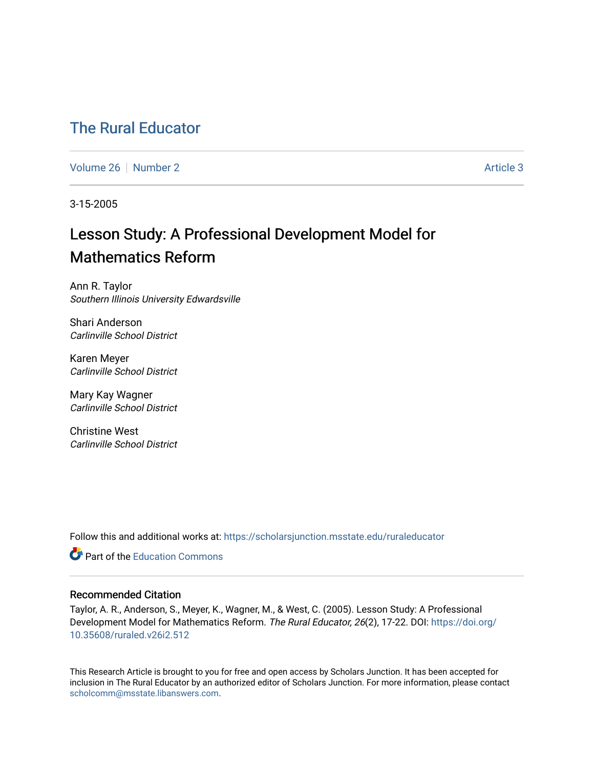## [The Rural Educator](https://scholarsjunction.msstate.edu/ruraleducator)

[Volume 26](https://scholarsjunction.msstate.edu/ruraleducator/vol26) [Number 2](https://scholarsjunction.msstate.edu/ruraleducator/vol26/iss2) Article 3

3-15-2005

# Lesson Study: A Professional Development Model for Mathematics Reform

Ann R. Taylor Southern Illinois University Edwardsville

Shari Anderson Carlinville School District

Karen Meyer Carlinville School District

Mary Kay Wagner Carlinville School District

Christine West Carlinville School District

Follow this and additional works at: [https://scholarsjunction.msstate.edu/ruraleducator](https://scholarsjunction.msstate.edu/ruraleducator?utm_source=scholarsjunction.msstate.edu%2Fruraleducator%2Fvol26%2Fiss2%2F3&utm_medium=PDF&utm_campaign=PDFCoverPages)

**C** Part of the [Education Commons](http://network.bepress.com/hgg/discipline/784?utm_source=scholarsjunction.msstate.edu%2Fruraleducator%2Fvol26%2Fiss2%2F3&utm_medium=PDF&utm_campaign=PDFCoverPages)

### Recommended Citation

Taylor, A. R., Anderson, S., Meyer, K., Wagner, M., & West, C. (2005). Lesson Study: A Professional Development Model for Mathematics Reform. The Rural Educator, 26(2), 17-22. DOI: [https://doi.org/](https://doi.org/10.35608/ruraled.v26i2.512) [10.35608/ruraled.v26i2.512](https://doi.org/10.35608/ruraled.v26i2.512)

This Research Article is brought to you for free and open access by Scholars Junction. It has been accepted for inclusion in The Rural Educator by an authorized editor of Scholars Junction. For more information, please contact [scholcomm@msstate.libanswers.com.](mailto:scholcomm@msstate.libanswers.com)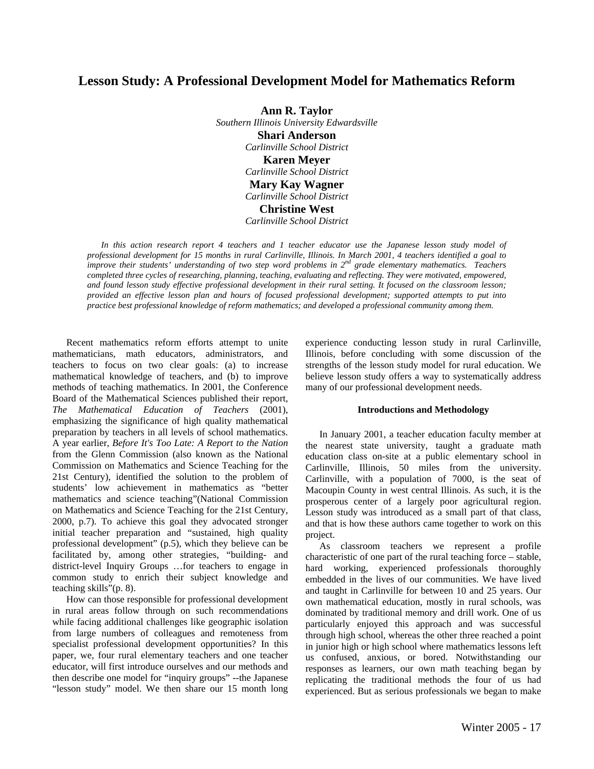## **Lesson Study: A Professional Development Model for Mathematics Reform**

**Ann R. Taylor**  *Southern Illinois University Edwardsville*  **Shari Anderson**  *Carlinville School District*  **Karen Meyer**  *Carlinville School District*  **Mary Kay Wagner**  *Carlinville School District*  **Christine West**  *Carlinville School District*

*In this action research report 4 teachers and 1 teacher educator use the Japanese lesson study model of professional development for 15 months in rural Carlinville, Illinois. In March 2001, 4 teachers identified a goal to improve their students' understanding of two step word problems in 2nd grade elementary mathematics. Teachers completed three cycles of researching, planning, teaching, evaluating and reflecting. They were motivated, empowered, and found lesson study effective professional development in their rural setting. It focused on the classroom lesson; provided an effective lesson plan and hours of focused professional development; supported attempts to put into practice best professional knowledge of reform mathematics; and developed a professional community among them.* 

Recent mathematics reform efforts attempt to unite mathematicians, math educators, administrators, and teachers to focus on two clear goals: (a) to increase mathematical knowledge of teachers, and (b) to improve methods of teaching mathematics. In 2001, the Conference Board of the Mathematical Sciences published their report, *The Mathematical Education of Teachers* (2001), emphasizing the significance of high quality mathematical preparation by teachers in all levels of school mathematics. A year earlier, *Before It's Too Late: A Report to the Nation* from the Glenn Commission (also known as the National Commission on Mathematics and Science Teaching for the 21st Century), identified the solution to the problem of students' low achievement in mathematics as "better mathematics and science teaching"(National Commission on Mathematics and Science Teaching for the 21st Century, 2000, p.7). To achieve this goal they advocated stronger initial teacher preparation and "sustained, high quality professional development" (p.5), which they believe can be facilitated by, among other strategies, "building- and district-level Inquiry Groups …for teachers to engage in common study to enrich their subject knowledge and teaching skills"(p. 8).

How can those responsible for professional development in rural areas follow through on such recommendations while facing additional challenges like geographic isolation from large numbers of colleagues and remoteness from specialist professional development opportunities? In this paper, we, four rural elementary teachers and one teacher educator, will first introduce ourselves and our methods and then describe one model for "inquiry groups" --the Japanese "lesson study" model. We then share our 15 month long

experience conducting lesson study in rural Carlinville, Illinois, before concluding with some discussion of the strengths of the lesson study model for rural education. We believe lesson study offers a way to systematically address many of our professional development needs.

#### **Introductions and Methodology**

In January 2001, a teacher education faculty member at the nearest state university, taught a graduate math education class on-site at a public elementary school in Carlinville, Illinois, 50 miles from the university. Carlinville, with a population of 7000, is the seat of Macoupin County in west central Illinois. As such, it is the prosperous center of a largely poor agricultural region. Lesson study was introduced as a small part of that class, and that is how these authors came together to work on this project.

As classroom teachers we represent a profile characteristic of one part of the rural teaching force – stable, hard working, experienced professionals thoroughly embedded in the lives of our communities. We have lived and taught in Carlinville for between 10 and 25 years. Our own mathematical education, mostly in rural schools, was dominated by traditional memory and drill work. One of us particularly enjoyed this approach and was successful through high school, whereas the other three reached a point in junior high or high school where mathematics lessons left us confused, anxious, or bored. Notwithstanding our responses as learners, our own math teaching began by replicating the traditional methods the four of us had experienced. But as serious professionals we began to make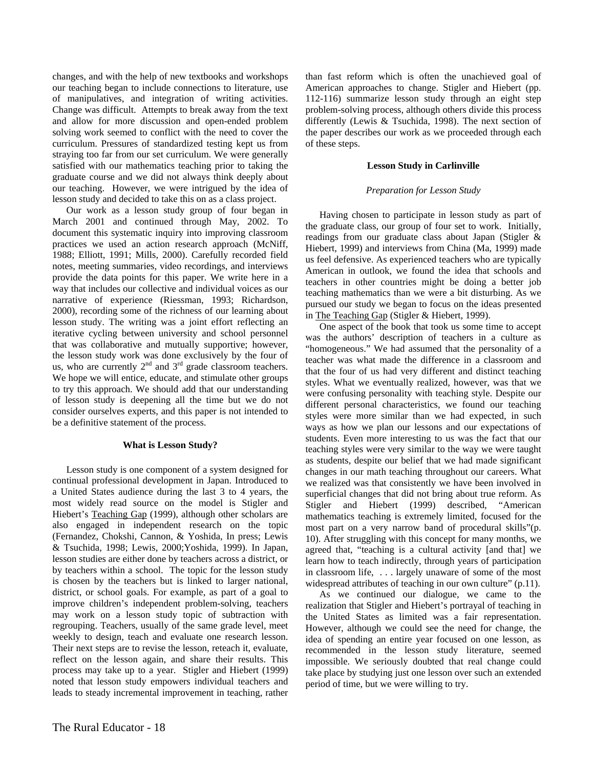changes, and with the help of new textbooks and workshops our teaching began to include connections to literature, use of manipulatives, and integration of writing activities. Change was difficult. Attempts to break away from the text and allow for more discussion and open-ended problem solving work seemed to conflict with the need to cover the curriculum. Pressures of standardized testing kept us from straying too far from our set curriculum. We were generally satisfied with our mathematics teaching prior to taking the graduate course and we did not always think deeply about our teaching. However, we were intrigued by the idea of lesson study and decided to take this on as a class project.

Our work as a lesson study group of four began in March 2001 and continued through May, 2002. To document this systematic inquiry into improving classroom practices we used an action research approach (McNiff, 1988; Elliott, 1991; Mills, 2000). Carefully recorded field notes, meeting summaries, video recordings, and interviews provide the data points for this paper. We write here in a way that includes our collective and individual voices as our narrative of experience (Riessman, 1993; Richardson, 2000), recording some of the richness of our learning about lesson study. The writing was a joint effort reflecting an iterative cycling between university and school personnel that was collaborative and mutually supportive; however, the lesson study work was done exclusively by the four of us, who are currently  $2<sup>nd</sup>$  and  $3<sup>rd</sup>$  grade classroom teachers. We hope we will entice, educate, and stimulate other groups to try this approach. We should add that our understanding of lesson study is deepening all the time but we do not consider ourselves experts, and this paper is not intended to be a definitive statement of the process.

#### **What is Lesson Study?**

Lesson study is one component of a system designed for continual professional development in Japan. Introduced to a United States audience during the last 3 to 4 years, the most widely read source on the model is Stigler and Hiebert's Teaching Gap (1999), although other scholars are also engaged in independent research on the topic (Fernandez, Chokshi, Cannon, & Yoshida, In press; Lewis & Tsuchida, 1998; Lewis, 2000;Yoshida, 1999). In Japan, lesson studies are either done by teachers across a district, or by teachers within a school. The topic for the lesson study is chosen by the teachers but is linked to larger national, district, or school goals. For example, as part of a goal to improve children's independent problem-solving, teachers may work on a lesson study topic of subtraction with regrouping. Teachers, usually of the same grade level, meet weekly to design, teach and evaluate one research lesson. Their next steps are to revise the lesson, reteach it, evaluate, reflect on the lesson again, and share their results. This process may take up to a year. Stigler and Hiebert (1999) noted that lesson study empowers individual teachers and leads to steady incremental improvement in teaching, rather than fast reform which is often the unachieved goal of American approaches to change. Stigler and Hiebert (pp. 112-116) summarize lesson study through an eight step problem-solving process, although others divide this process differently (Lewis & Tsuchida, 1998). The next section of the paper describes our work as we proceeded through each of these steps.

#### **Lesson Study in Carlinville**

#### *Preparation for Lesson Study*

Having chosen to participate in lesson study as part of the graduate class, our group of four set to work. Initially, readings from our graduate class about Japan (Stigler & Hiebert, 1999) and interviews from China (Ma, 1999) made us feel defensive. As experienced teachers who are typically American in outlook, we found the idea that schools and teachers in other countries might be doing a better job teaching mathematics than we were a bit disturbing. As we pursued our study we began to focus on the ideas presented in The Teaching Gap (Stigler & Hiebert, 1999).

One aspect of the book that took us some time to accept was the authors' description of teachers in a culture as "homogeneous." We had assumed that the personality of a teacher was what made the difference in a classroom and that the four of us had very different and distinct teaching styles. What we eventually realized, however, was that we were confusing personality with teaching style. Despite our different personal characteristics, we found our teaching styles were more similar than we had expected, in such ways as how we plan our lessons and our expectations of students. Even more interesting to us was the fact that our teaching styles were very similar to the way we were taught as students, despite our belief that we had made significant changes in our math teaching throughout our careers. What we realized was that consistently we have been involved in superficial changes that did not bring about true reform. As Stigler and Hiebert (1999) described, "American mathematics teaching is extremely limited, focused for the most part on a very narrow band of procedural skills"(p. 10). After struggling with this concept for many months, we agreed that, "teaching is a cultural activity [and that] we learn how to teach indirectly, through years of participation in classroom life, . . . largely unaware of some of the most widespread attributes of teaching in our own culture" (p.11).

As we continued our dialogue, we came to the realization that Stigler and Hiebert's portrayal of teaching in the United States as limited was a fair representation. However, although we could see the need for change, the idea of spending an entire year focused on one lesson, as recommended in the lesson study literature, seemed impossible. We seriously doubted that real change could take place by studying just one lesson over such an extended period of time, but we were willing to try.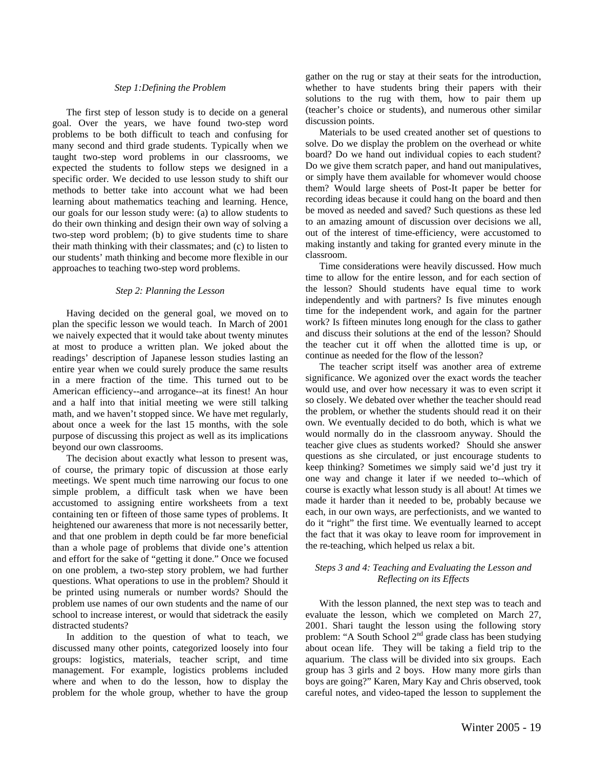#### *Step 1:Defining the Problem*

The first step of lesson study is to decide on a general goal. Over the years, we have found two-step word problems to be both difficult to teach and confusing for many second and third grade students. Typically when we taught two-step word problems in our classrooms, we expected the students to follow steps we designed in a specific order. We decided to use lesson study to shift our methods to better take into account what we had been learning about mathematics teaching and learning. Hence, our goals for our lesson study were: (a) to allow students to do their own thinking and design their own way of solving a two-step word problem; (b) to give students time to share their math thinking with their classmates; and (c) to listen to our students' math thinking and become more flexible in our approaches to teaching two-step word problems.

#### *Step 2: Planning the Lesson*

Having decided on the general goal, we moved on to plan the specific lesson we would teach. In March of 2001 we naively expected that it would take about twenty minutes at most to produce a written plan. We joked about the readings' description of Japanese lesson studies lasting an entire year when we could surely produce the same results in a mere fraction of the time. This turned out to be American efficiency--and arrogance--at its finest! An hour and a half into that initial meeting we were still talking math, and we haven't stopped since. We have met regularly, about once a week for the last 15 months, with the sole purpose of discussing this project as well as its implications beyond our own classrooms.

The decision about exactly what lesson to present was, of course, the primary topic of discussion at those early meetings. We spent much time narrowing our focus to one simple problem, a difficult task when we have been accustomed to assigning entire worksheets from a text containing ten or fifteen of those same types of problems. It heightened our awareness that more is not necessarily better, and that one problem in depth could be far more beneficial than a whole page of problems that divide one's attention and effort for the sake of "getting it done." Once we focused on one problem, a two-step story problem, we had further questions. What operations to use in the problem? Should it be printed using numerals or number words? Should the problem use names of our own students and the name of our school to increase interest, or would that sidetrack the easily distracted students?

In addition to the question of what to teach, we discussed many other points, categorized loosely into four groups: logistics, materials, teacher script, and time management. For example, logistics problems included where and when to do the lesson, how to display the problem for the whole group, whether to have the group gather on the rug or stay at their seats for the introduction, whether to have students bring their papers with their solutions to the rug with them, how to pair them up (teacher's choice or students), and numerous other similar discussion points.

Materials to be used created another set of questions to solve. Do we display the problem on the overhead or white board? Do we hand out individual copies to each student? Do we give them scratch paper, and hand out manipulatives, or simply have them available for whomever would choose them? Would large sheets of Post-It paper be better for recording ideas because it could hang on the board and then be moved as needed and saved? Such questions as these led to an amazing amount of discussion over decisions we all, out of the interest of time-efficiency, were accustomed to making instantly and taking for granted every minute in the classroom.

Time considerations were heavily discussed. How much time to allow for the entire lesson, and for each section of the lesson? Should students have equal time to work independently and with partners? Is five minutes enough time for the independent work, and again for the partner work? Is fifteen minutes long enough for the class to gather and discuss their solutions at the end of the lesson? Should the teacher cut it off when the allotted time is up, or continue as needed for the flow of the lesson?

The teacher script itself was another area of extreme significance. We agonized over the exact words the teacher would use, and over how necessary it was to even script it so closely. We debated over whether the teacher should read the problem, or whether the students should read it on their own. We eventually decided to do both, which is what we would normally do in the classroom anyway. Should the teacher give clues as students worked? Should she answer questions as she circulated, or just encourage students to keep thinking? Sometimes we simply said we'd just try it one way and change it later if we needed to--which of course is exactly what lesson study is all about! At times we made it harder than it needed to be, probably because we each, in our own ways, are perfectionists, and we wanted to do it "right" the first time. We eventually learned to accept the fact that it was okay to leave room for improvement in the re-teaching, which helped us relax a bit.

#### *Steps 3 and 4: Teaching and Evaluating the Lesson and Reflecting on its Effects*

With the lesson planned, the next step was to teach and evaluate the lesson, which we completed on March 27, 2001. Shari taught the lesson using the following story problem: "A South School 2<sup>nd</sup> grade class has been studying about ocean life. They will be taking a field trip to the aquarium. The class will be divided into six groups. Each group has 3 girls and 2 boys. How many more girls than boys are going?" Karen, Mary Kay and Chris observed, took careful notes, and video-taped the lesson to supplement the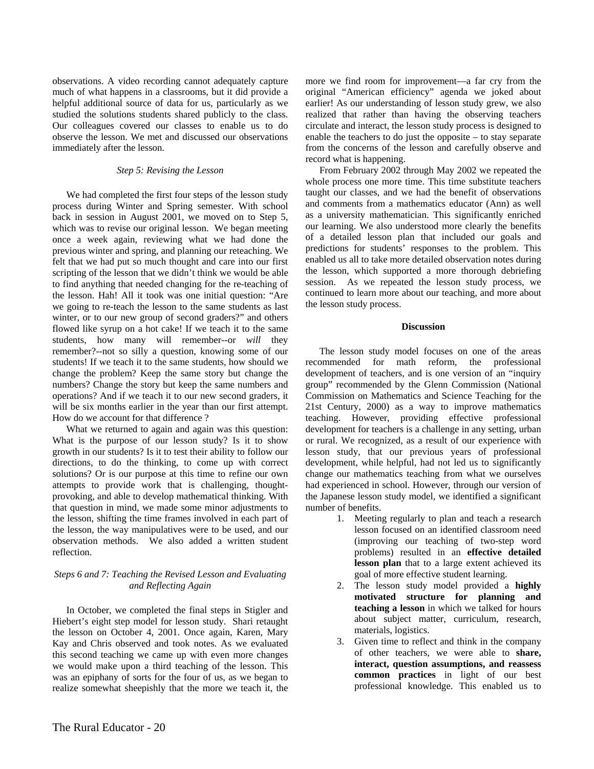observations. A video recording cannot adequately capture much of what happens in a classrooms, but it did provide a helpful additional source of data for us, particularly as we studied the solutions students shared publicly to the class. Our colleagues covered our classes to enable us to do observe the lesson. We met and discussed our observations immediately after the lesson.

#### *Step 5: Revising the Lesson*

We had completed the first four steps of the lesson study process during Winter and Spring semester. With school back in session in August 2001, we moved on to Step 5, which was to revise our original lesson. We began meeting once a week again, reviewing what we had done the previous winter and spring, and planning our reteaching. We felt that we had put so much thought and care into our first scripting of the lesson that we didn't think we would be able to find anything that needed changing for the re-teaching of the lesson. Hah! All it took was one initial question: "Are we going to re-teach the lesson to the same students as last winter, or to our new group of second graders?" and others flowed like syrup on a hot cake! If we teach it to the same students, how many will remember--or *will* they remember?--not so silly a question, knowing some of our students! If we teach it to the same students, how should we change the problem? Keep the same story but change the numbers? Change the story but keep the same numbers and operations? And if we teach it to our new second graders, it will be six months earlier in the year than our first attempt. How do we account for that difference ?

What we returned to again and again was this question: What is the purpose of our lesson study? Is it to show growth in our students? Is it to test their ability to follow our directions, to do the thinking, to come up with correct solutions? Or is our purpose at this time to refine our own attempts to provide work that is challenging, thoughtprovoking, and able to develop mathematical thinking. With that question in mind, we made some minor adjustments to the lesson, shifting the time frames involved in each part of the lesson, the way manipulatives were to be used, and our observation methods. We also added a written student reflection.

## *Steps 6 and 7: Teaching the Revised Lesson and Evaluating and Reflecting Again*

In October, we completed the final steps in Stigler and Hiebert's eight step model for lesson study. Shari retaught the lesson on October 4, 2001. Once again, Karen, Mary Kay and Chris observed and took notes. As we evaluated this second teaching we came up with even more changes we would make upon a third teaching of the lesson. This was an epiphany of sorts for the four of us, as we began to realize somewhat sheepishly that the more we teach it, the more we find room for improvement—a far cry from the original "American efficiency" agenda we joked about earlier! As our understanding of lesson study grew, we also realized that rather than having the observing teachers circulate and interact, the lesson study process is designed to enable the teachers to do just the opposite – to stay separate from the concerns of the lesson and carefully observe and record what is happening.

From February 2002 through May 2002 we repeated the whole process one more time. This time substitute teachers taught our classes, and we had the benefit of observations and comments from a mathematics educator (Ann) as well as a university mathematician. This significantly enriched our learning. We also understood more clearly the benefits of a detailed lesson plan that included our goals and predictions for students' responses to the problem. This enabled us all to take more detailed observation notes during the lesson, which supported a more thorough debriefing session. As we repeated the lesson study process, we continued to learn more about our teaching, and more about the lesson study process.

#### **Discussion**

The lesson study model focuses on one of the areas recommended for math reform, the professional development of teachers, and is one version of an "inquiry group" recommended by the Glenn Commission (National Commission on Mathematics and Science Teaching for the 21st Century, 2000) as a way to improve mathematics teaching. However, providing effective professional development for teachers is a challenge in any setting, urban or rural. We recognized, as a result of our experience with lesson study, that our previous years of professional development, while helpful, had not led us to significantly change our mathematics teaching from what we ourselves had experienced in school. However, through our version of the Japanese lesson study model, we identified a significant number of benefits.

- 1. Meeting regularly to plan and teach a research lesson focused on an identified classroom need (improving our teaching of two-step word problems) resulted in an **effective detailed lesson plan** that to a large extent achieved its goal of more effective student learning.
- 2. The lesson study model provided a **highly motivated structure for planning and teaching a lesson** in which we talked for hours about subject matter, curriculum, research, materials, logistics.
- 3. Given time to reflect and think in the company of other teachers, we were able to **share, interact, question assumptions, and reassess common practices** in light of our best professional knowledge. This enabled us to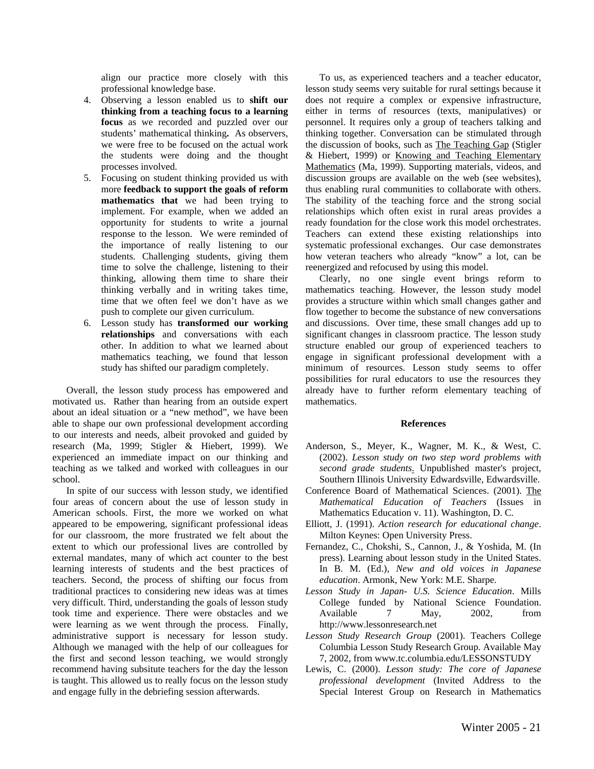align our practice more closely with this professional knowledge base.

- 4. Observing a lesson enabled us to **shift our thinking from a teaching focus to a learning focus** as we recorded and puzzled over our students' mathematical thinking**.** As observers, we were free to be focused on the actual work the students were doing and the thought processes involved.
- 5. Focusing on student thinking provided us with more **feedback to support the goals of reform mathematics that** we had been trying to implement. For example, when we added an opportunity for students to write a journal response to the lesson. We were reminded of the importance of really listening to our students. Challenging students, giving them time to solve the challenge, listening to their thinking, allowing them time to share their thinking verbally and in writing takes time, time that we often feel we don't have as we push to complete our given curriculum.
- 6. Lesson study has **transformed our working relationships** and conversations with each other. In addition to what we learned about mathematics teaching, we found that lesson study has shifted our paradigm completely.

Overall, the lesson study process has empowered and motivated us. Rather than hearing from an outside expert about an ideal situation or a "new method", we have been able to shape our own professional development according to our interests and needs, albeit provoked and guided by research (Ma, 1999; Stigler & Hiebert, 1999). We experienced an immediate impact on our thinking and teaching as we talked and worked with colleagues in our school.

In spite of our success with lesson study, we identified four areas of concern about the use of lesson study in American schools. First, the more we worked on what appeared to be empowering, significant professional ideas for our classroom, the more frustrated we felt about the extent to which our professional lives are controlled by external mandates, many of which act counter to the best learning interests of students and the best practices of teachers. Second, the process of shifting our focus from traditional practices to considering new ideas was at times very difficult. Third, understanding the goals of lesson study took time and experience. There were obstacles and we were learning as we went through the process. Finally, administrative support is necessary for lesson study. Although we managed with the help of our colleagues for the first and second lesson teaching, we would strongly recommend having subsitute teachers for the day the lesson is taught. This allowed us to really focus on the lesson study and engage fully in the debriefing session afterwards.

To us, as experienced teachers and a teacher educator, lesson study seems very suitable for rural settings because it does not require a complex or expensive infrastructure, either in terms of resources (texts, manipulatives) or personnel. It requires only a group of teachers talking and thinking together. Conversation can be stimulated through the discussion of books, such as The Teaching Gap (Stigler & Hiebert, 1999) or Knowing and Teaching Elementary Mathematics (Ma, 1999). Supporting materials, videos, and discussion groups are available on the web (see websites), thus enabling rural communities to collaborate with others. The stability of the teaching force and the strong social relationships which often exist in rural areas provides a ready foundation for the close work this model orchestrates. Teachers can extend these existing relationships into systematic professional exchanges. Our case demonstrates how veteran teachers who already "know" a lot, can be reenergized and refocused by using this model.

Clearly, no one single event brings reform to mathematics teaching. However, the lesson study model provides a structure within which small changes gather and flow together to become the substance of new conversations and discussions. Over time, these small changes add up to significant changes in classroom practice. The lesson study structure enabled our group of experienced teachers to engage in significant professional development with a minimum of resources. Lesson study seems to offer possibilities for rural educators to use the resources they already have to further reform elementary teaching of mathematics.

#### **References**

- Anderson, S., Meyer, K., Wagner, M. K., & West, C. (2002). *Lesson study on two step word problems with second grade students*. Unpublished master's project, Southern Illinois University Edwardsville, Edwardsville.
- Conference Board of Mathematical Sciences. (2001). The *Mathematical Education of Teachers* (Issues in Mathematics Education v. 11). Washington, D. C.
- Elliott, J. (1991). *Action research for educational change*. Milton Keynes: Open University Press.
- Fernandez, C., Chokshi, S., Cannon, J., & Yoshida, M. (In press). Learning about lesson study in the United States. In B. M. (Ed.), *New and old voices in Japanese education*. Armonk, New York: M.E. Sharpe.
- *Lesson Study in Japan- U.S. Science Education*. Mills College funded by National Science Foundation. Available 7 May, 2002, from http://www.lessonresearch.net
- *Lesson Study Research Group* (2001). Teachers College Columbia Lesson Study Research Group. Available May 7, 2002, from www.tc.columbia.edu/LESSONSTUDY
- Lewis, C. (2000). *Lesson study: The core of Japanese professional development* (Invited Address to the Special Interest Group on Research in Mathematics